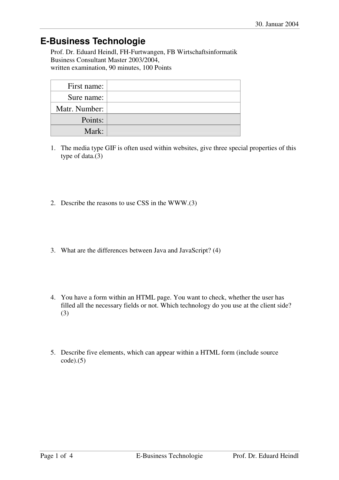## **E-Business Technologie**

Prof. Dr. Eduard Heindl, FH-Furtwangen, FB Wirtschaftsinformatik Business Consultant Master 2003/2004, written examination, 90 minutes, 100 Points

| First name:   |  |
|---------------|--|
| Sure name:    |  |
| Matr. Number: |  |
| Points:       |  |
| Mark:         |  |

- 1. The media type GIF is often used within websites, give three special properties of this type of data.(3)
- 2. Describe the reasons to use CSS in the WWW.(3)
- 3. What are the differences between Java and JavaScript? (4)
- 4. You have a form within an HTML page. You want to check, whether the user has filled all the necessary fields or not. Which technology do you use at the client side? (3)
- 5. Describe five elements, which can appear within a HTML form (include source  $code).(5)$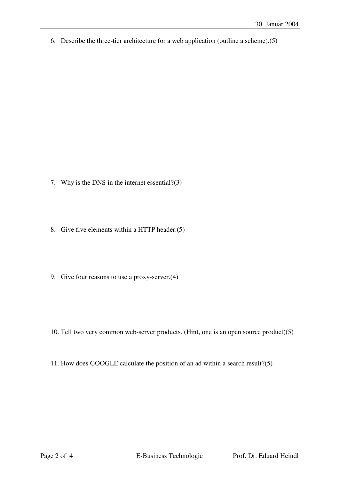6. Describe the three-tier architecture for a web application (outline a scheme).(5)

- 7. Why is the DNS in the internet essential?(3)
- 8. Give five elements within a HTTP header.(5)
- 9. Give four reasons to use a proxy-server.(4)
- 10. Tell two very common web-server products. (Hint, one is an open source product)(5)
- 11. How does GOOGLE calculate the position of an ad within a search result?(5)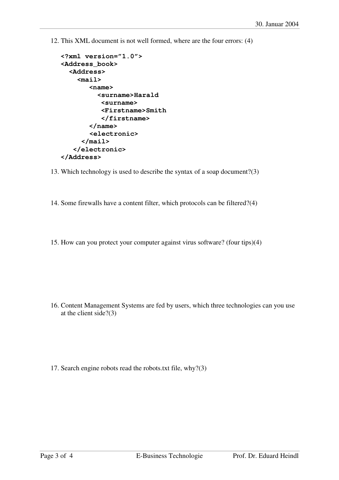12. This XML document is not well formed, where are the four errors: (4)

```
<?xml version="1.0"> 
<Address_book> 
   <Address> 
     <mail> 
         <name> 
           <surname>Harald 
            <surname> 
            <Firstname>Smith 
            </firstname> 
         </name> 
         <electronic> 
       </mail> 
    </electronic> 
</Address>
```
- 13. Which technology is used to describe the syntax of a soap document?(3)
- 14. Some firewalls have a content filter, which protocols can be filtered?(4)
- 15. How can you protect your computer against virus software? (four tips)(4)

- 16. Content Management Systems are fed by users, which three technologies can you use at the client side?(3)
- 17. Search engine robots read the robots.txt file, why?(3)